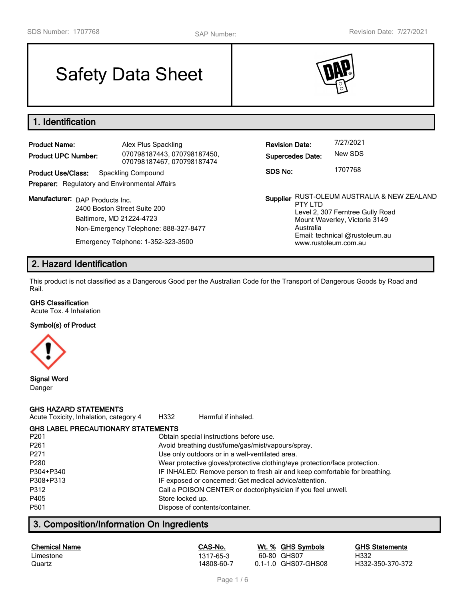# Safety Data Sheet



# **1. Identification**

| <b>Product Name:</b>                                  | Alex Plus Spackling                                       | <b>Revision Date:</b>                 | 7/27/2021                                         |
|-------------------------------------------------------|-----------------------------------------------------------|---------------------------------------|---------------------------------------------------|
| <b>Product UPC Number:</b>                            | 070798187443, 070798187450,<br>070798187467, 070798187474 | <b>Supercedes Date:</b>               | New SDS                                           |
| <b>Product Use/Class:</b>                             | Spackling Compound                                        | SDS No:                               | 1707768                                           |
| <b>Preparer:</b> Regulatory and Environmental Affairs |                                                           |                                       |                                                   |
| Manufacturer: DAP Products Inc.                       | 2400 Boston Street Suite 200<br>Baltimore, MD 21224-4723  | Supplier RUST-OLEUM AUSTR<br>PTY I TD | Level 2, 307 Ferntree C<br>Mount Waverley, Victor |

Non-Emergency Telephone: 888-327-8477 Emergency Telphone: 1-352-323-3500

**Supplier** RUST-OLEUM AUSTRALIA & NEW ZEALAND PTY LTD Level 2, 307 Ferntree Gully Road Mount Waverley, Victoria 3149 Australia Email: technical @rustoleum.au www.rustoleum.com.au

# **2. Hazard Identification**

This product is not classified as a Dangerous Good per the Australian Code for the Transport of Dangerous Goods by Road and Rail.

### **GHS Classification**

Acute Tox. 4 Inhalation

#### **Symbol(s) of Product**



# **Signal Word**

Danger

### **GHS HAZARD STATEMENTS**

| Acute Toxicity, Inhalation, category 4    | H332             | Harmful if inhaled.                                                        |
|-------------------------------------------|------------------|----------------------------------------------------------------------------|
| <b>GHS LABEL PRECAUTIONARY STATEMENTS</b> |                  |                                                                            |
| P <sub>201</sub>                          |                  | Obtain special instructions before use.                                    |
| P <sub>261</sub>                          |                  | Avoid breathing dust/fume/gas/mist/vapours/spray.                          |
| P <sub>271</sub>                          |                  | Use only outdoors or in a well-ventilated area.                            |
| P280                                      |                  | Wear protective gloves/protective clothing/eye protection/face protection. |
| P304+P340                                 |                  | IF INHALED: Remove person to fresh air and keep comfortable for breathing. |
| P308+P313                                 |                  | IF exposed or concerned: Get medical advice/attention.                     |
| P312                                      |                  | Call a POISON CENTER or doctor/physician if you feel unwell.               |
| P405                                      | Store locked up. |                                                                            |
| P <sub>501</sub>                          |                  | Dispose of contents/container.                                             |
|                                           |                  |                                                                            |

# **3. Composition/Information On Ingredients**

| <b>Chemical Name</b> | CAS-No.    | Wt. % GHS Symbols   | <b>GHS Statements</b> |
|----------------------|------------|---------------------|-----------------------|
| Limestone            | 1317-65-3  | 60-80 GHS07         | H332                  |
| Quartz               | 14808-60-7 | 0.1-1.0 GHS07-GHS08 | H332-350-370-372      |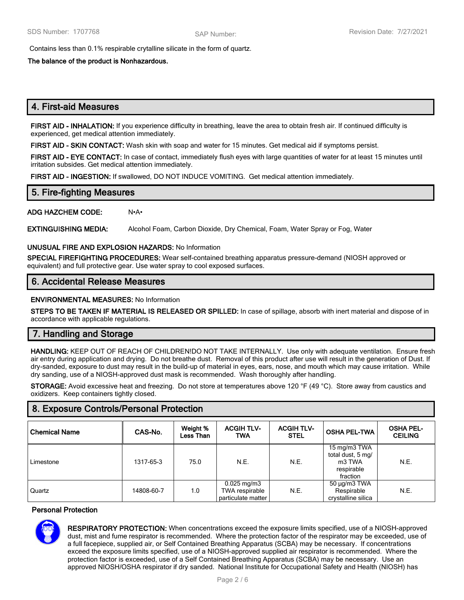Contains less than 0.1% respirable crytalline silicate in the form of quartz.

**The balance of the product is Nonhazardous.**

# **4. First-aid Measures**

**FIRST AID - INHALATION:** If you experience difficulty in breathing, leave the area to obtain fresh air. If continued difficulty is experienced, get medical attention immediately.

**FIRST AID - SKIN CONTACT:** Wash skin with soap and water for 15 minutes. Get medical aid if symptoms persist.

**FIRST AID - EYE CONTACT:** In case of contact, immediately flush eyes with large quantities of water for at least 15 minutes until irritation subsides. Get medical attention immediately.

**FIRST AID - INGESTION:** If swallowed, DO NOT INDUCE VOMITING. Get medical attention immediately.

# **5. Fire-fighting Measures**

**ADG HAZCHEM CODE:** N•A•

**EXTINGUISHING MEDIA:** Alcohol Foam, Carbon Dioxide, Dry Chemical, Foam, Water Spray or Fog, Water

# **UNUSUAL FIRE AND EXPLOSION HAZARDS:** No Information

**SPECIAL FIREFIGHTING PROCEDURES:** Wear self-contained breathing apparatus pressure-demand (NIOSH approved or equivalent) and full protective gear. Use water spray to cool exposed surfaces.

# **6. Accidental Release Measures**

#### **ENVIRONMENTAL MEASURES:** No Information

**STEPS TO BE TAKEN IF MATERIAL IS RELEASED OR SPILLED:** In case of spillage, absorb with inert material and dispose of in accordance with applicable regulations.

# **7. Handling and Storage**

**HANDLING:** KEEP OUT OF REACH OF CHILDREN!DO NOT TAKE INTERNALLY. Use only with adequate ventilation. Ensure fresh air entry during application and drying. Do not breathe dust. Removal of this product after use will result in the generation of Dust. If dry-sanded, exposure to dust may result in the build-up of material in eyes, ears, nose, and mouth which may cause irritation. While dry sanding, use of a NIOSH-approved dust mask is recommended. Wash thoroughly after handling.

**STORAGE:** Avoid excessive heat and freezing. Do not store at temperatures above 120 °F (49 °C). Store away from caustics and oxidizers. Keep containers tightly closed.

# **8. Exposure Controls/Personal Protection**

| <b>Chemical Name</b> | CAS-No.    | Weight %<br><b>Less Than</b> | <b>ACGIH TLV-</b><br><b>TWA</b>                                  | <b>ACGIH TLV-</b><br><b>STEL</b> | <b>OSHA PEL-TWA</b>                                                   | <b>OSHA PEL-</b><br><b>CEILING</b> |
|----------------------|------------|------------------------------|------------------------------------------------------------------|----------------------------------|-----------------------------------------------------------------------|------------------------------------|
| Limestone            | 1317-65-3  | 75.0                         | N.E.                                                             | N.E.                             | 15 mg/m3 TWA<br>total dust, 5 mg/<br>m3 TWA<br>respirable<br>fraction | N.E.                               |
| Quartz               | 14808-60-7 | 1.0                          | $0.025 \,\mathrm{mg/m3}$<br>TWA respirable<br>particulate matter | N.E.                             | 50 μg/m3 TWA<br>Respirable<br>crystalline silica                      | N.E.                               |

#### **Personal Protection**



**RESPIRATORY PROTECTION:** When concentrations exceed the exposure limits specified, use of a NIOSH-approved dust, mist and fume respirator is recommended. Where the protection factor of the respirator may be exceeded, use of a full facepiece, supplied air, or Self Contained Breathing Apparatus (SCBA) may be necessary. If concentrations exceed the exposure limits specified, use of a NIOSH-approved supplied air respirator is recommended. Where the protection factor is exceeded, use of a Self Contained Breathing Apparatus (SCBA) may be necessary. Use an approved NIOSH/OSHA respirator if dry sanded. National Institute for Occupational Safety and Health (NIOSH) has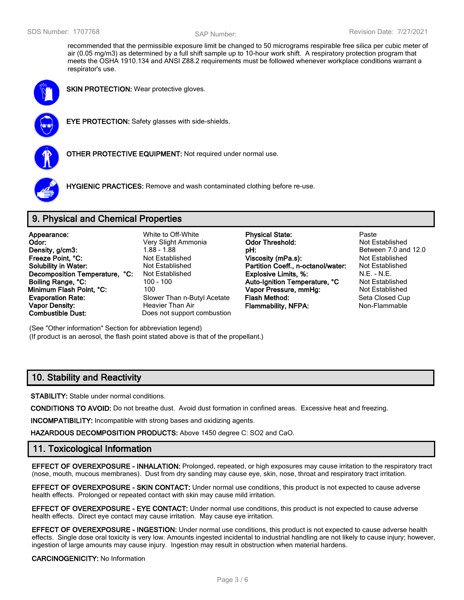recommended that the permissible exposure limit be changed to 50 micrograms respirable free silica per cubic meter of air (0.05 mg/m3) as determined by a full shift sample up to 10-hour work shift. A respiratory protection program that meets the OSHA 1910.134 and ANSI Z88.2 requirements must be followed whenever workplace conditions warrant a respirator's use.



**SKIN PROTECTION:** Wear protective gloves.



**EYE PROTECTION:** Safety glasses with side-shields.



**OTHER PROTECTIVE EQUIPMENT:** Not required under normal use.



**HYGIENIC PRACTICES:** Remove and wash contaminated clothing before re-use.

# **9. Physical and Chemical Properties**

| Appearance:                    |  |
|--------------------------------|--|
|                                |  |
| Odor:                          |  |
| Density, g/cm3:                |  |
| Freeze Point, °C:              |  |
| <b>Solubility in Water:</b>    |  |
| Decomposition Temperature, °C: |  |
| Boiling Range, °C:             |  |
| Minimum Flash Point. °C:       |  |
| <b>Evaporation Rate:</b>       |  |
| <b>Vapor Density:</b>          |  |
| <b>Combustible Dust:</b>       |  |

Does not support combustion

White to Off-White **Physical State:** Paste **Odor:** Very Slight Ammonia **Odor Threshold:** Not Established **Density, and 12.0 pH: pH:** Between 7.0 and 12.0 **Freeze Point, °C:** Not Established **Viscosity (mPa.s):** Not Established **Solubility in Water:** Not Established **Partition Coeff., n-octanol/water:** Not Established **Deal Explosive Limits, %: N.E. - N.E. - N.E. Boiling Range, °C:** 100 - 100 **Auto-Ignition Temperature, °C** Not Established **Minimum Flash Pressure, mmHg:** Not Established **Evaluate:** Slower Than n-Butyl Acetate **Flash Method:** Seta Closed Cup **Vapor Density:** Heavier Than Air **Flammability, NFPA:** Non-Flammable

(See "Other information" Section for abbreviation legend) (If product is an aerosol, the flash point stated above is that of the propellant.)

# **10. Stability and Reactivity**

**STABILITY:** Stable under normal conditions.

**CONDITIONS TO AVOID:** Do not breathe dust. Avoid dust formation in confined areas. Excessive heat and freezing.

**INCOMPATIBILITY:** Incompatible with strong bases and oxidizing agents.

**HAZARDOUS DECOMPOSITION PRODUCTS:** Above 1450 degree C: SO2 and CaO.

# **11. Toxicological Information**

**EFFECT OF OVEREXPOSURE - INHALATION:** Prolonged, repeated, or high exposures may cause irritation to the respiratory tract (nose, mouth, mucous membranes). Dust from dry sanding may cause eye, skin, nose, throat and respiratory tract irritation.

**EFFECT OF OVEREXPOSURE - SKIN CONTACT:** Under normal use conditions, this product is not expected to cause adverse health effects. Prolonged or repeated contact with skin may cause mild irritation.

**EFFECT OF OVEREXPOSURE - EYE CONTACT:** Under normal use conditions, this product is not expected to cause adverse health effects. Direct eye contact may cause irritation. May cause eye irritation.

**EFFECT OF OVEREXPOSURE - INGESTION:** Under normal use conditions, this product is not expected to cause adverse health effects. Single dose oral toxicity is very low. Amounts ingested incidental to industrial handling are not likely to cause injury; however, ingestion of large amounts may cause injury. Ingestion may result in obstruction when material hardens.

#### **CARCINOGENICITY:** No Information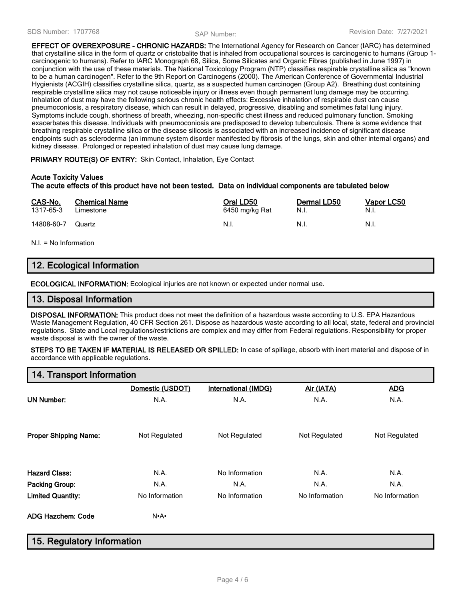**EFFECT OF OVEREXPOSURE - CHRONIC HAZARDS:** The International Agency for Research on Cancer (IARC) has determined that crystalline silica in the form of quartz or cristobalite that is inhaled from occupational sources is carcinogenic to humans (Group 1 carcinogenic to humans). Refer to IARC Monograph 68, Silica, Some Silicates and Organic Fibres (published in June 1997) in conjunction with the use of these materials. The National Toxicology Program (NTP) classifies respirable crystalline silica as "known to be a human carcinogen". Refer to the 9th Report on Carcinogens (2000). The American Conference of Governmental Industrial Hygienists (ACGIH) classifies crystalline silica, quartz, as a suspected human carcinogen (Group A2). Breathing dust containing respirable crystalline silica may not cause noticeable injury or illness even though permanent lung damage may be occurring. Inhalation of dust may have the following serious chronic health effects: Excessive inhalation of respirable dust can cause pneumoconiosis, a respiratory disease, which can result in delayed, progressive, disabling and sometimes fatal lung injury. Symptoms include cough, shortness of breath, wheezing, non-specific chest illness and reduced pulmonary function. Smoking exacerbates this disease. Individuals with pneumoconiosis are predisposed to develop tuberculosis. There is some evidence that breathing respirable crystalline silica or the disease silicosis is associated with an increased incidence of significant disease endpoints such as scleroderma (an immune system disorder manifested by fibrosis of the lungs, skin and other internal organs) and kidney disease. Prolonged or repeated inhalation of dust may cause lung damage.

#### **PRIMARY ROUTE(S) OF ENTRY:** Skin Contact, Inhalation, Eye Contact

#### **Acute Toxicity Values**

#### **The acute effects of this product have not been tested. Data on individual components are tabulated below**

| CAS-No.    | <b>Chemical Name</b> | Oral LD50      | Dermal LD50 | Vapor LC50 |
|------------|----------------------|----------------|-------------|------------|
| 1317-65-3  | Limestone            | 6450 mg/kg Rat | N.I.        | - N.I.     |
| 14808-60-7 | Quartz               | - N.I.         | - N.I.      | - N.I.     |

N.I. = No Information

# **12. Ecological Information**

**ECOLOGICAL INFORMATION:** Ecological injuries are not known or expected under normal use.

# **13. Disposal Information**

**DISPOSAL INFORMATION:** This product does not meet the definition of a hazardous waste according to U.S. EPA Hazardous Waste Management Regulation, 40 CFR Section 261. Dispose as hazardous waste according to all local, state, federal and provincial regulations. State and Local regulations/restrictions are complex and may differ from Federal regulations. Responsibility for proper waste disposal is with the owner of the waste.

**STEPS TO BE TAKEN IF MATERIAL IS RELEASED OR SPILLED:** In case of spillage, absorb with inert material and dispose of in accordance with applicable regulations.

# **14. Transport Information**

|                              | Domestic (USDOT)  | International (IMDG) | Air (IATA)     | <b>ADG</b>     |
|------------------------------|-------------------|----------------------|----------------|----------------|
| <b>UN Number:</b>            | N.A.              | N.A.                 | N.A.           | N.A.           |
| <b>Proper Shipping Name:</b> | Not Regulated     | Not Regulated        | Not Regulated  | Not Regulated  |
| <b>Hazard Class:</b>         | N.A.              | No Information       | N.A.           | N.A.           |
| <b>Packing Group:</b>        | N.A.              | N.A.                 | N.A.           | N.A.           |
| <b>Limited Quantity:</b>     | No Information    | No Information       | No Information | No Information |
| <b>ADG Hazchem: Code</b>     | $N \cdot A \cdot$ |                      |                |                |

# **15. Regulatory Information**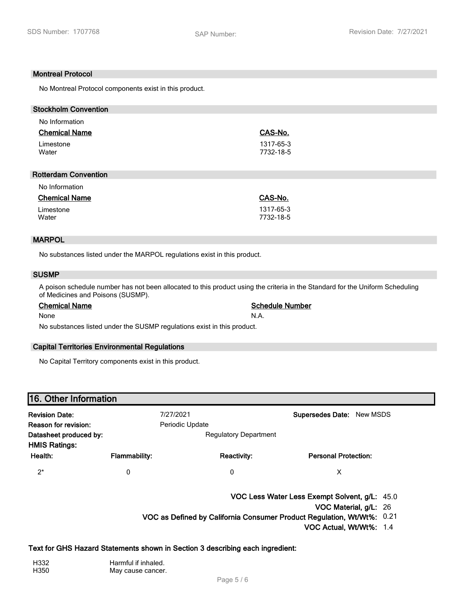#### **Montreal Protocol**

No Montreal Protocol components exist in this product.

| <b>Stockholm Convention</b>                                              |           |
|--------------------------------------------------------------------------|-----------|
| No Information                                                           |           |
| <b>Chemical Name</b>                                                     | CAS-No.   |
| Limestone                                                                | 1317-65-3 |
| Water                                                                    | 7732-18-5 |
|                                                                          |           |
| <b>Rotterdam Convention</b>                                              |           |
| No Information                                                           |           |
| <b>Chemical Name</b>                                                     | CAS-No.   |
| Limestone                                                                | 1317-65-3 |
| Water                                                                    | 7732-18-5 |
|                                                                          |           |
| <b>MARPOL</b>                                                            |           |
|                                                                          |           |
| No substances listed under the MARPOL regulations exist in this product. |           |
| <b>SUSMP</b>                                                             |           |
|                                                                          |           |

A poison schedule number has not been allocated to this product using the criteria in the Standard for the Uniform Scheduling of Medicines and Poisons (SUSMP).

None N.A.

# **Chemical Name Schedule Number**

No substances listed under the SUSMP regulations exist in this product.

#### **Capital Territories Environmental Regulations**

No Capital Territory components exist in this product.

| 16. Other Information                          |                      |                              |                                  |  |  |
|------------------------------------------------|----------------------|------------------------------|----------------------------------|--|--|
| <b>Revision Date:</b>                          |                      | 7/27/2021                    | <b>Supersedes Date: New MSDS</b> |  |  |
| Reason for revision:                           |                      | Periodic Update              |                                  |  |  |
| Datasheet produced by:<br><b>HMIS Ratings:</b> |                      | <b>Regulatory Department</b> |                                  |  |  |
| Health:                                        | <b>Flammability:</b> | <b>Reactivity:</b>           | <b>Personal Protection:</b>      |  |  |
| $2^*$                                          | 0                    | 0                            | х                                |  |  |

**VOC Less Water Less Exempt Solvent, g/L:** 45.0

**VOC Material, g/L:** 26

**VOC as Defined by California Consumer Product Regulation, Wt/Wt%:** 0.21

**VOC Actual, Wt/Wt%:** 1.4

#### **Text for GHS Hazard Statements shown in Section 3 describing each ingredient:**

Harmful if inhaled.<br>
H350 **H350** May cause cancer